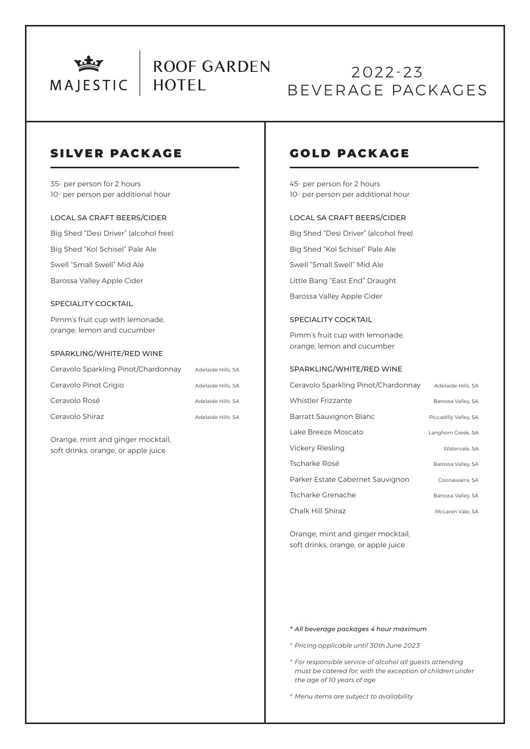

## 2022-23 BEVERAGE PACKAGES

### SILVER PACKAGE

35- per person for 2 hours 10- per person per additional hour

#### LOCAL SA CRAFT BEERS/CIDER

Big Shed "Desi Driver" (alcohol free)

Big Shed "Kol Schisel" Pale Ale

Swell "Small Swell" Mid Ale

Barossa Valley Apple Cider

#### SPECIALITY COCKTAIL

Pimm's fruit cup with lemonade, orange, lemon and cucumber

#### SPARKLING/WHITE/RED WINE

| Ceravolo Sparkling Pinot/Chardonnay | Adelaide Hills, SA |
|-------------------------------------|--------------------|
| Ceravolo Pinot Grigio               | Adelaide Hills, SA |
| Ceravolo Rosé                       | Adelaide Hills, SA |
| Ceravolo Shiraz                     | Adelaide Hills, SA |

Orange, mint and ginger mocktail, soft drinks, orange, or apple juice

### GOLD PACKAGE

45- per person for 2 hours 10- per person per additional hour

#### LOCAL SA CRAFT BEERS/CIDER

Big Shed "Desi Driver" (alcohol free) Big Shed "Kol Schisel" Pale Ale Swell "Small Swell" Mid Ale Little Bang "East End" Draught Barossa Valley Apple Cider

#### SPECIALITY COCKTAIL

Pimm's fruit cup with lemonade, orange, lemon and cucumber

#### SPARKLING/WHITE/RED WINE

| Ceravolo Sparkling Pinot/Chardonnay | Adelaide Hills, SA    |
|-------------------------------------|-----------------------|
| Whistler Frizzante                  | Barossa Valley, SA    |
| Barratt Sauvignon Blanc             | Piccadilly Valley, SA |
| Lake Breeze Moscato                 | Langhorn Creek, SA    |
| Vickery Riesling                    | Watervale, SA         |
| Tscharke Rosé                       | Barossa Valley, SA    |
| Parker Estate Cabernet Sauvignon    | Coonawarra, SA        |
| Tscharke Grenache                   | Barossa Valley, SA    |
| Chalk Hill Shiraz                   | McLaren Vale, SA      |

Orange, mint and ginger mocktail, soft drinks, orange, or apple juice

#### *\* All beverage packages 4 hour maximum*

- *\* Pricing applicable until 30th June 2023*
- *\* For responsible service of alcohol all guests attending must be catered for, with the exception of children under the age of 10 years of age*

*\* Menu items are subject to availability*